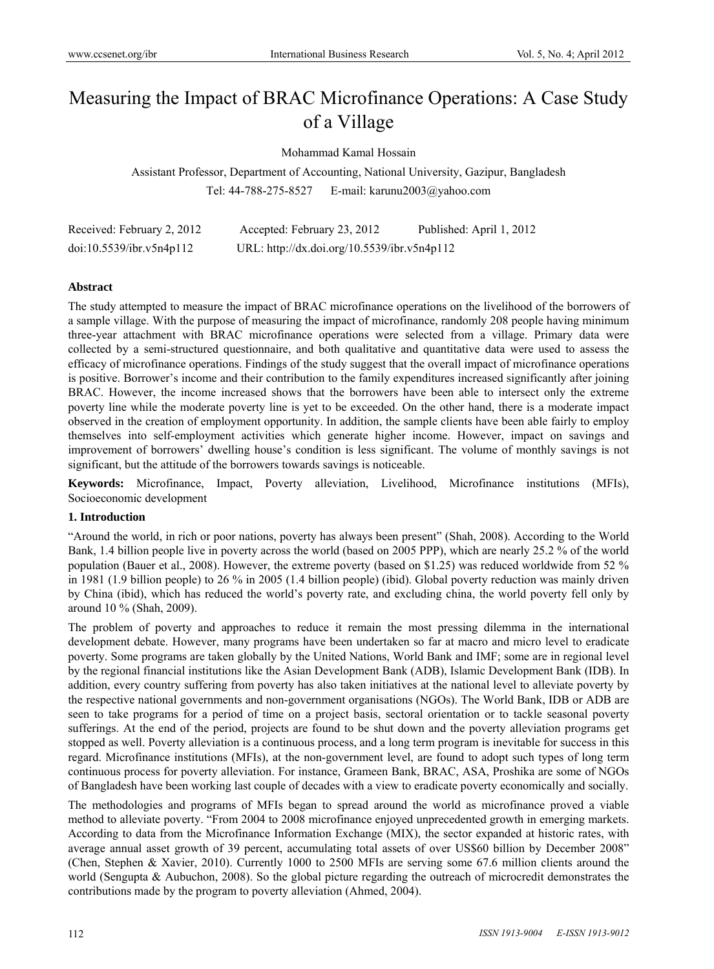# Measuring the Impact of BRAC Microfinance Operations: A Case Study of a Village

Mohammad Kamal Hossain

Assistant Professor, Department of Accounting, National University, Gazipur, Bangladesh Tel: 44-788-275-8527 E-mail: karunu2003@yahoo.com

| Received: February 2, 2012 | Accepted: February 23, 2012                 | Published: April 1, 2012 |
|----------------------------|---------------------------------------------|--------------------------|
| doi:10.5539/ibr.v5n4p112   | URL: http://dx.doi.org/10.5539/ibr.v5n4p112 |                          |

## **Abstract**

The study attempted to measure the impact of BRAC microfinance operations on the livelihood of the borrowers of a sample village. With the purpose of measuring the impact of microfinance, randomly 208 people having minimum three-year attachment with BRAC microfinance operations were selected from a village. Primary data were collected by a semi-structured questionnaire, and both qualitative and quantitative data were used to assess the efficacy of microfinance operations. Findings of the study suggest that the overall impact of microfinance operations is positive. Borrower's income and their contribution to the family expenditures increased significantly after joining BRAC. However, the income increased shows that the borrowers have been able to intersect only the extreme poverty line while the moderate poverty line is yet to be exceeded. On the other hand, there is a moderate impact observed in the creation of employment opportunity. In addition, the sample clients have been able fairly to employ themselves into self-employment activities which generate higher income. However, impact on savings and improvement of borrowers' dwelling house's condition is less significant. The volume of monthly savings is not significant, but the attitude of the borrowers towards savings is noticeable.

**Keywords:** Microfinance, Impact, Poverty alleviation, Livelihood, Microfinance institutions (MFIs), Socioeconomic development

#### **1. Introduction**

"Around the world, in rich or poor nations, poverty has always been present" (Shah, 2008). According to the World Bank, 1.4 billion people live in poverty across the world (based on 2005 PPP), which are nearly 25.2 % of the world population (Bauer et al., 2008). However, the extreme poverty (based on \$1.25) was reduced worldwide from 52 % in 1981 (1.9 billion people) to 26 % in 2005 (1.4 billion people) (ibid). Global poverty reduction was mainly driven by China (ibid), which has reduced the world's poverty rate, and excluding china, the world poverty fell only by around 10 % (Shah, 2009).

The problem of poverty and approaches to reduce it remain the most pressing dilemma in the international development debate. However, many programs have been undertaken so far at macro and micro level to eradicate poverty. Some programs are taken globally by the United Nations, World Bank and IMF; some are in regional level by the regional financial institutions like the Asian Development Bank (ADB), Islamic Development Bank (IDB). In addition, every country suffering from poverty has also taken initiatives at the national level to alleviate poverty by the respective national governments and non-government organisations (NGOs). The World Bank, IDB or ADB are seen to take programs for a period of time on a project basis, sectoral orientation or to tackle seasonal poverty sufferings. At the end of the period, projects are found to be shut down and the poverty alleviation programs get stopped as well. Poverty alleviation is a continuous process, and a long term program is inevitable for success in this regard. Microfinance institutions (MFIs), at the non-government level, are found to adopt such types of long term continuous process for poverty alleviation. For instance, Grameen Bank, BRAC, ASA, Proshika are some of NGOs of Bangladesh have been working last couple of decades with a view to eradicate poverty economically and socially.

The methodologies and programs of MFIs began to spread around the world as microfinance proved a viable method to alleviate poverty. "From 2004 to 2008 microfinance enjoyed unprecedented growth in emerging markets. According to data from the Microfinance Information Exchange (MIX), the sector expanded at historic rates, with average annual asset growth of 39 percent, accumulating total assets of over US\$60 billion by December 2008" (Chen, Stephen & Xavier, 2010). Currently 1000 to 2500 MFIs are serving some 67.6 million clients around the world (Sengupta & Aubuchon, 2008). So the global picture regarding the outreach of microcredit demonstrates the contributions made by the program to poverty alleviation (Ahmed, 2004).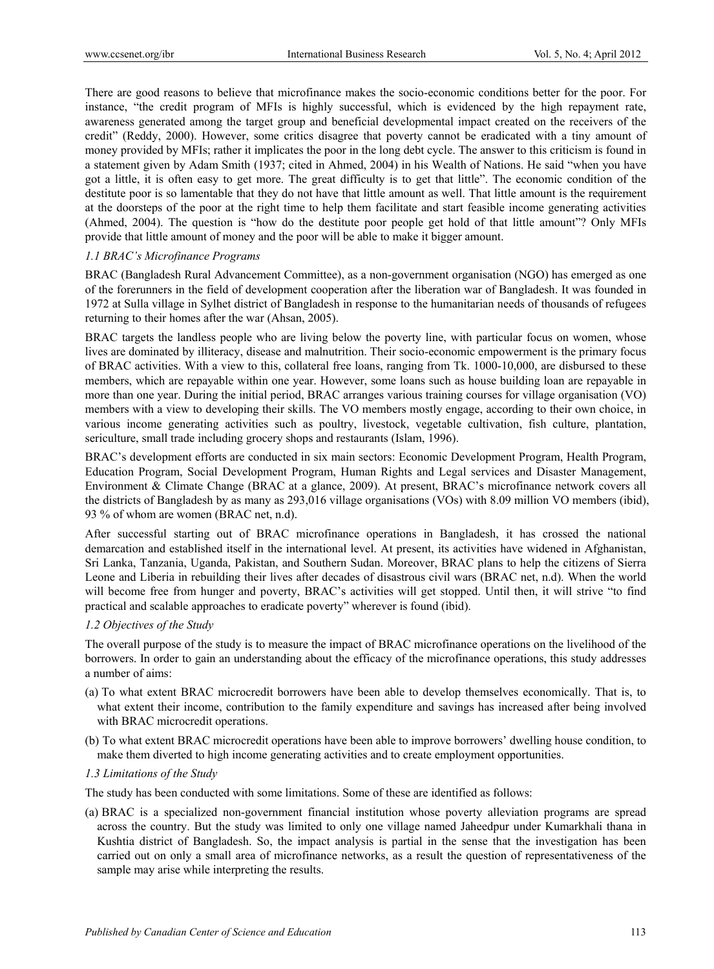There are good reasons to believe that microfinance makes the socio-economic conditions better for the poor. For instance, "the credit program of MFIs is highly successful, which is evidenced by the high repayment rate, awareness generated among the target group and beneficial developmental impact created on the receivers of the credit" (Reddy, 2000). However, some critics disagree that poverty cannot be eradicated with a tiny amount of money provided by MFIs; rather it implicates the poor in the long debt cycle. The answer to this criticism is found in a statement given by Adam Smith (1937; cited in Ahmed, 2004) in his Wealth of Nations. He said "when you have got a little, it is often easy to get more. The great difficulty is to get that little". The economic condition of the destitute poor is so lamentable that they do not have that little amount as well. That little amount is the requirement at the doorsteps of the poor at the right time to help them facilitate and start feasible income generating activities (Ahmed, 2004). The question is "how do the destitute poor people get hold of that little amount"? Only MFIs provide that little amount of money and the poor will be able to make it bigger amount.

## *1.1 BRAC's Microfinance Programs*

BRAC (Bangladesh Rural Advancement Committee), as a non-government organisation (NGO) has emerged as one of the forerunners in the field of development cooperation after the liberation war of Bangladesh. It was founded in 1972 at Sulla village in Sylhet district of Bangladesh in response to the humanitarian needs of thousands of refugees returning to their homes after the war (Ahsan, 2005).

BRAC targets the landless people who are living below the poverty line, with particular focus on women, whose lives are dominated by illiteracy, disease and malnutrition. Their socio-economic empowerment is the primary focus of BRAC activities. With a view to this, collateral free loans, ranging from Tk. 1000-10,000, are disbursed to these members, which are repayable within one year. However, some loans such as house building loan are repayable in more than one year. During the initial period, BRAC arranges various training courses for village organisation (VO) members with a view to developing their skills. The VO members mostly engage, according to their own choice, in various income generating activities such as poultry, livestock, vegetable cultivation, fish culture, plantation, sericulture, small trade including grocery shops and restaurants (Islam, 1996).

BRAC's development efforts are conducted in six main sectors: Economic Development Program, Health Program, Education Program, Social Development Program, Human Rights and Legal services and Disaster Management, Environment & Climate Change (BRAC at a glance, 2009). At present, BRAC's microfinance network covers all the districts of Bangladesh by as many as 293,016 village organisations (VOs) with 8.09 million VO members (ibid), 93 % of whom are women (BRAC net, n.d).

After successful starting out of BRAC microfinance operations in Bangladesh, it has crossed the national demarcation and established itself in the international level. At present, its activities have widened in Afghanistan, Sri Lanka, Tanzania, Uganda, Pakistan, and Southern Sudan. Moreover, BRAC plans to help the citizens of Sierra Leone and Liberia in rebuilding their lives after decades of disastrous civil wars (BRAC net, n.d). When the world will become free from hunger and poverty, BRAC's activities will get stopped. Until then, it will strive "to find practical and scalable approaches to eradicate poverty" wherever is found (ibid).

## *1.2 Objectives of the Study*

The overall purpose of the study is to measure the impact of BRAC microfinance operations on the livelihood of the borrowers. In order to gain an understanding about the efficacy of the microfinance operations, this study addresses a number of aims:

- (a) To what extent BRAC microcredit borrowers have been able to develop themselves economically. That is, to what extent their income, contribution to the family expenditure and savings has increased after being involved with BRAC microcredit operations.
- (b) To what extent BRAC microcredit operations have been able to improve borrowers' dwelling house condition, to make them diverted to high income generating activities and to create employment opportunities.

#### *1.3 Limitations of the Study*

The study has been conducted with some limitations. Some of these are identified as follows:

(a) BRAC is a specialized non-government financial institution whose poverty alleviation programs are spread across the country. But the study was limited to only one village named Jaheedpur under Kumarkhali thana in Kushtia district of Bangladesh. So, the impact analysis is partial in the sense that the investigation has been carried out on only a small area of microfinance networks, as a result the question of representativeness of the sample may arise while interpreting the results.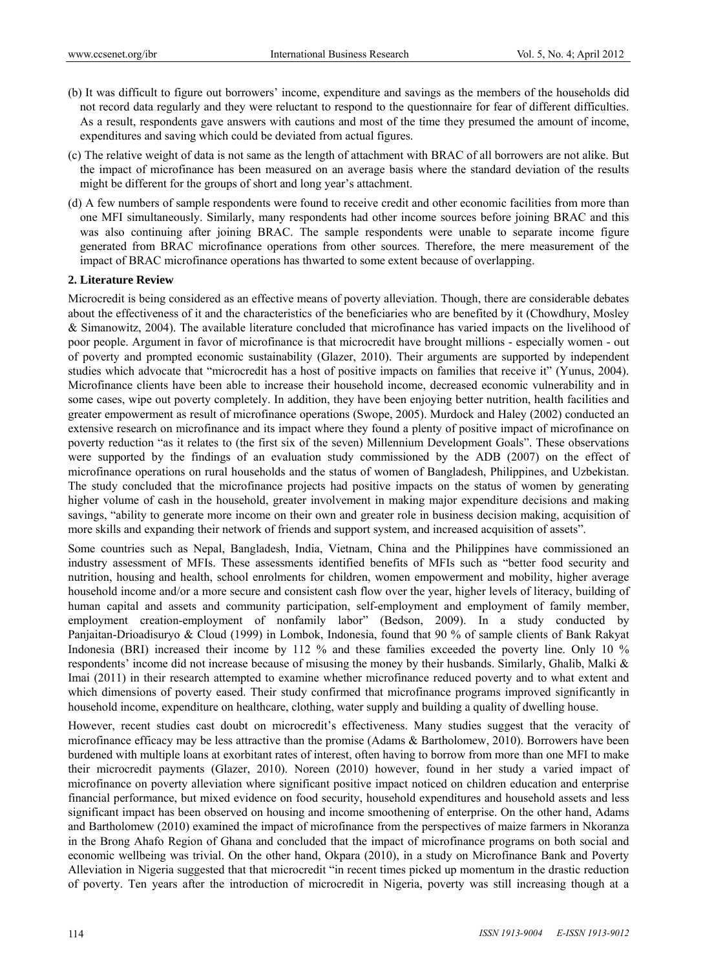- (b) It was difficult to figure out borrowers' income, expenditure and savings as the members of the households did not record data regularly and they were reluctant to respond to the questionnaire for fear of different difficulties. As a result, respondents gave answers with cautions and most of the time they presumed the amount of income, expenditures and saving which could be deviated from actual figures.
- (c) The relative weight of data is not same as the length of attachment with BRAC of all borrowers are not alike. But the impact of microfinance has been measured on an average basis where the standard deviation of the results might be different for the groups of short and long year's attachment.
- (d) A few numbers of sample respondents were found to receive credit and other economic facilities from more than one MFI simultaneously. Similarly, many respondents had other income sources before joining BRAC and this was also continuing after joining BRAC. The sample respondents were unable to separate income figure generated from BRAC microfinance operations from other sources. Therefore, the mere measurement of the impact of BRAC microfinance operations has thwarted to some extent because of overlapping.

#### **2. Literature Review**

Microcredit is being considered as an effective means of poverty alleviation. Though, there are considerable debates about the effectiveness of it and the characteristics of the beneficiaries who are benefited by it (Chowdhury, Mosley & Simanowitz, 2004). The available literature concluded that microfinance has varied impacts on the livelihood of poor people. Argument in favor of microfinance is that microcredit have brought millions - especially women - out of poverty and prompted economic sustainability (Glazer, 2010). Their arguments are supported by independent studies which advocate that "microcredit has a host of positive impacts on families that receive it" (Yunus, 2004). Microfinance clients have been able to increase their household income, decreased economic vulnerability and in some cases, wipe out poverty completely. In addition, they have been enjoying better nutrition, health facilities and greater empowerment as result of microfinance operations (Swope, 2005). Murdock and Haley (2002) conducted an extensive research on microfinance and its impact where they found a plenty of positive impact of microfinance on poverty reduction "as it relates to (the first six of the seven) Millennium Development Goals". These observations were supported by the findings of an evaluation study commissioned by the ADB (2007) on the effect of microfinance operations on rural households and the status of women of Bangladesh, Philippines, and Uzbekistan. The study concluded that the microfinance projects had positive impacts on the status of women by generating higher volume of cash in the household, greater involvement in making major expenditure decisions and making savings, "ability to generate more income on their own and greater role in business decision making, acquisition of more skills and expanding their network of friends and support system, and increased acquisition of assets".

Some countries such as Nepal, Bangladesh, India, Vietnam, China and the Philippines have commissioned an industry assessment of MFIs. These assessments identified benefits of MFIs such as "better food security and nutrition, housing and health, school enrolments for children, women empowerment and mobility, higher average household income and/or a more secure and consistent cash flow over the year, higher levels of literacy, building of human capital and assets and community participation, self-employment and employment of family member, employment creation-employment of nonfamily labor" (Bedson, 2009). In a study conducted by Panjaitan-Drioadisuryo & Cloud (1999) in Lombok, Indonesia, found that 90 % of sample clients of Bank Rakyat Indonesia (BRI) increased their income by 112 % and these families exceeded the poverty line. Only 10 % respondents' income did not increase because of misusing the money by their husbands. Similarly, Ghalib, Malki & Imai (2011) in their research attempted to examine whether microfinance reduced poverty and to what extent and which dimensions of poverty eased. Their study confirmed that microfinance programs improved significantly in household income, expenditure on healthcare, clothing, water supply and building a quality of dwelling house.

However, recent studies cast doubt on microcredit's effectiveness. Many studies suggest that the veracity of microfinance efficacy may be less attractive than the promise (Adams & Bartholomew, 2010). Borrowers have been burdened with multiple loans at exorbitant rates of interest, often having to borrow from more than one MFI to make their microcredit payments (Glazer, 2010). Noreen (2010) however, found in her study a varied impact of microfinance on poverty alleviation where significant positive impact noticed on children education and enterprise financial performance, but mixed evidence on food security, household expenditures and household assets and less significant impact has been observed on housing and income smoothening of enterprise. On the other hand, Adams and Bartholomew (2010) examined the impact of microfinance from the perspectives of maize farmers in Nkoranza in the Brong Ahafo Region of Ghana and concluded that the impact of microfinance programs on both social and economic wellbeing was trivial. On the other hand, Okpara (2010), in a study on Microfinance Bank and Poverty Alleviation in Nigeria suggested that that microcredit "in recent times picked up momentum in the drastic reduction of poverty. Ten years after the introduction of microcredit in Nigeria, poverty was still increasing though at a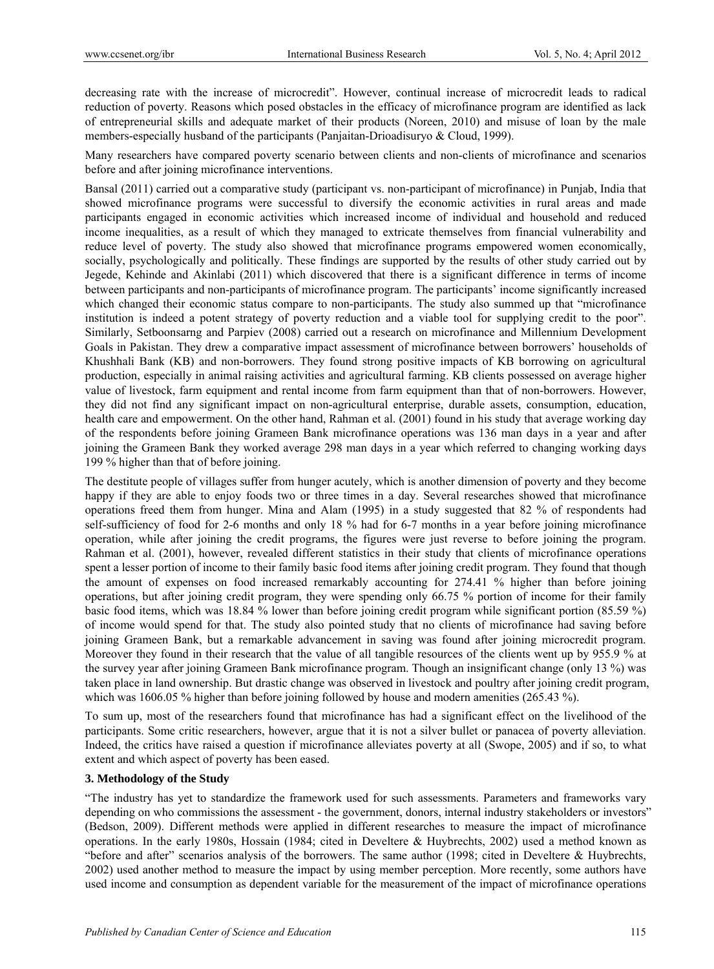decreasing rate with the increase of microcredit". However, continual increase of microcredit leads to radical reduction of poverty. Reasons which posed obstacles in the efficacy of microfinance program are identified as lack of entrepreneurial skills and adequate market of their products (Noreen, 2010) and misuse of loan by the male members-especially husband of the participants (Panjaitan-Drioadisuryo & Cloud, 1999).

Many researchers have compared poverty scenario between clients and non-clients of microfinance and scenarios before and after joining microfinance interventions.

Bansal (2011) carried out a comparative study (participant vs. non-participant of microfinance) in Punjab, India that showed microfinance programs were successful to diversify the economic activities in rural areas and made participants engaged in economic activities which increased income of individual and household and reduced income inequalities, as a result of which they managed to extricate themselves from financial vulnerability and reduce level of poverty. The study also showed that microfinance programs empowered women economically, socially, psychologically and politically. These findings are supported by the results of other study carried out by Jegede, Kehinde and Akinlabi (2011) which discovered that there is a significant difference in terms of income between participants and non-participants of microfinance program. The participants' income significantly increased which changed their economic status compare to non-participants. The study also summed up that "microfinance" institution is indeed a potent strategy of poverty reduction and a viable tool for supplying credit to the poor". Similarly, Setboonsarng and Parpiev (2008) carried out a research on microfinance and Millennium Development Goals in Pakistan. They drew a comparative impact assessment of microfinance between borrowers' households of Khushhali Bank (KB) and non-borrowers. They found strong positive impacts of KB borrowing on agricultural production, especially in animal raising activities and agricultural farming. KB clients possessed on average higher value of livestock, farm equipment and rental income from farm equipment than that of non-borrowers. However, they did not find any significant impact on non-agricultural enterprise, durable assets, consumption, education, health care and empowerment. On the other hand, Rahman et al. (2001) found in his study that average working day of the respondents before joining Grameen Bank microfinance operations was 136 man days in a year and after joining the Grameen Bank they worked average 298 man days in a year which referred to changing working days 199 % higher than that of before joining.

The destitute people of villages suffer from hunger acutely, which is another dimension of poverty and they become happy if they are able to enjoy foods two or three times in a day. Several researches showed that microfinance operations freed them from hunger. Mina and Alam (1995) in a study suggested that 82 % of respondents had self-sufficiency of food for 2-6 months and only 18 % had for 6-7 months in a year before joining microfinance operation, while after joining the credit programs, the figures were just reverse to before joining the program. Rahman et al. (2001), however, revealed different statistics in their study that clients of microfinance operations spent a lesser portion of income to their family basic food items after joining credit program. They found that though the amount of expenses on food increased remarkably accounting for 274.41 % higher than before joining operations, but after joining credit program, they were spending only 66.75 % portion of income for their family basic food items, which was 18.84 % lower than before joining credit program while significant portion (85.59 %) of income would spend for that. The study also pointed study that no clients of microfinance had saving before joining Grameen Bank, but a remarkable advancement in saving was found after joining microcredit program. Moreover they found in their research that the value of all tangible resources of the clients went up by 955.9 % at the survey year after joining Grameen Bank microfinance program. Though an insignificant change (only 13 %) was taken place in land ownership. But drastic change was observed in livestock and poultry after joining credit program, which was 1606.05 % higher than before joining followed by house and modern amenities (265.43 %).

To sum up, most of the researchers found that microfinance has had a significant effect on the livelihood of the participants. Some critic researchers, however, argue that it is not a silver bullet or panacea of poverty alleviation. Indeed, the critics have raised a question if microfinance alleviates poverty at all (Swope, 2005) and if so, to what extent and which aspect of poverty has been eased.

#### **3. Methodology of the Study**

"The industry has yet to standardize the framework used for such assessments. Parameters and frameworks vary depending on who commissions the assessment - the government, donors, internal industry stakeholders or investors" (Bedson, 2009). Different methods were applied in different researches to measure the impact of microfinance operations. In the early 1980s, Hossain (1984; cited in Develtere & Huybrechts, 2002) used a method known as "before and after" scenarios analysis of the borrowers. The same author (1998; cited in Develtere & Huybrechts, 2002) used another method to measure the impact by using member perception. More recently, some authors have used income and consumption as dependent variable for the measurement of the impact of microfinance operations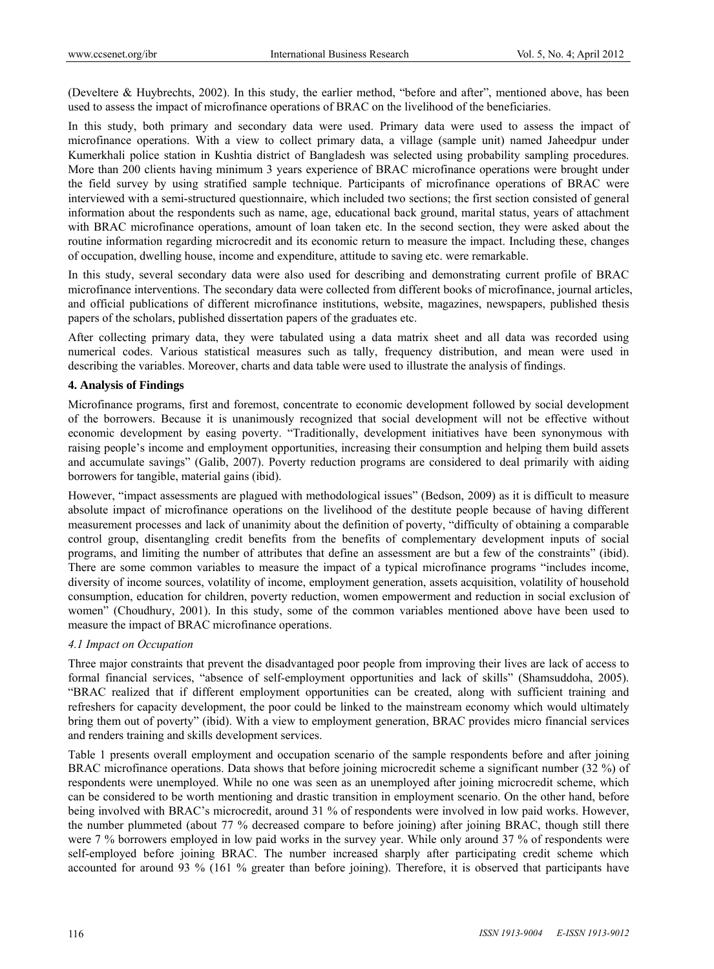(Develtere & Huybrechts, 2002). In this study, the earlier method, "before and after", mentioned above, has been used to assess the impact of microfinance operations of BRAC on the livelihood of the beneficiaries.

In this study, both primary and secondary data were used. Primary data were used to assess the impact of microfinance operations. With a view to collect primary data, a village (sample unit) named Jaheedpur under Kumerkhali police station in Kushtia district of Bangladesh was selected using probability sampling procedures. More than 200 clients having minimum 3 years experience of BRAC microfinance operations were brought under the field survey by using stratified sample technique. Participants of microfinance operations of BRAC were interviewed with a semi-structured questionnaire, which included two sections; the first section consisted of general information about the respondents such as name, age, educational back ground, marital status, years of attachment with BRAC microfinance operations, amount of loan taken etc. In the second section, they were asked about the routine information regarding microcredit and its economic return to measure the impact. Including these, changes of occupation, dwelling house, income and expenditure, attitude to saving etc. were remarkable.

In this study, several secondary data were also used for describing and demonstrating current profile of BRAC microfinance interventions. The secondary data were collected from different books of microfinance, journal articles, and official publications of different microfinance institutions, website, magazines, newspapers, published thesis papers of the scholars, published dissertation papers of the graduates etc.

After collecting primary data, they were tabulated using a data matrix sheet and all data was recorded using numerical codes. Various statistical measures such as tally, frequency distribution, and mean were used in describing the variables. Moreover, charts and data table were used to illustrate the analysis of findings.

#### **4. Analysis of Findings**

Microfinance programs, first and foremost, concentrate to economic development followed by social development of the borrowers. Because it is unanimously recognized that social development will not be effective without economic development by easing poverty. "Traditionally, development initiatives have been synonymous with raising people's income and employment opportunities, increasing their consumption and helping them build assets and accumulate savings" (Galib, 2007). Poverty reduction programs are considered to deal primarily with aiding borrowers for tangible, material gains (ibid).

However, "impact assessments are plagued with methodological issues" (Bedson, 2009) as it is difficult to measure absolute impact of microfinance operations on the livelihood of the destitute people because of having different measurement processes and lack of unanimity about the definition of poverty, "difficulty of obtaining a comparable control group, disentangling credit benefits from the benefits of complementary development inputs of social programs, and limiting the number of attributes that define an assessment are but a few of the constraints" (ibid). There are some common variables to measure the impact of a typical microfinance programs "includes income, diversity of income sources, volatility of income, employment generation, assets acquisition, volatility of household consumption, education for children, poverty reduction, women empowerment and reduction in social exclusion of women" (Choudhury, 2001). In this study, some of the common variables mentioned above have been used to measure the impact of BRAC microfinance operations.

#### *4.1 Impact on Occupation*

Three major constraints that prevent the disadvantaged poor people from improving their lives are lack of access to formal financial services, "absence of self-employment opportunities and lack of skills" (Shamsuddoha, 2005). "BRAC realized that if different employment opportunities can be created, along with sufficient training and refreshers for capacity development, the poor could be linked to the mainstream economy which would ultimately bring them out of poverty" (ibid). With a view to employment generation, BRAC provides micro financial services and renders training and skills development services.

Table 1 presents overall employment and occupation scenario of the sample respondents before and after joining BRAC microfinance operations. Data shows that before joining microcredit scheme a significant number (32 %) of respondents were unemployed. While no one was seen as an unemployed after joining microcredit scheme, which can be considered to be worth mentioning and drastic transition in employment scenario. On the other hand, before being involved with BRAC's microcredit, around 31 % of respondents were involved in low paid works. However, the number plummeted (about 77 % decreased compare to before joining) after joining BRAC, though still there were 7 % borrowers employed in low paid works in the survey year. While only around 37 % of respondents were self-employed before joining BRAC. The number increased sharply after participating credit scheme which accounted for around 93 % (161 % greater than before joining). Therefore, it is observed that participants have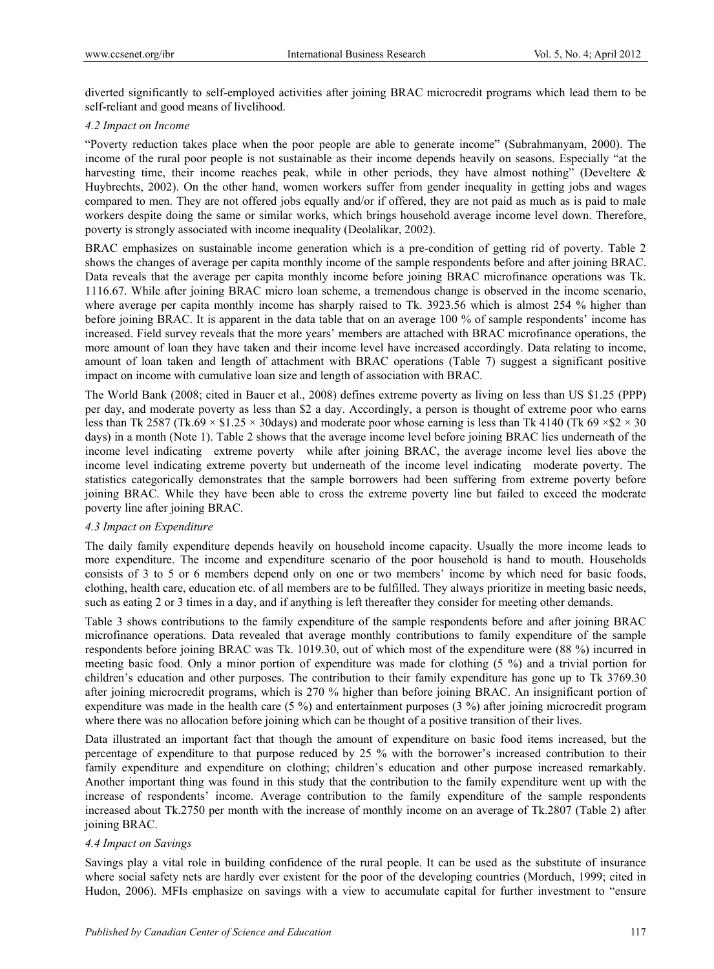diverted significantly to self-employed activities after joining BRAC microcredit programs which lead them to be self-reliant and good means of livelihood.

### *4.2 Impact on Income*

"Poverty reduction takes place when the poor people are able to generate income" (Subrahmanyam, 2000). The income of the rural poor people is not sustainable as their income depends heavily on seasons. Especially "at the harvesting time, their income reaches peak, while in other periods, they have almost nothing" (Develtere & Huybrechts, 2002). On the other hand, women workers suffer from gender inequality in getting jobs and wages compared to men. They are not offered jobs equally and/or if offered, they are not paid as much as is paid to male workers despite doing the same or similar works, which brings household average income level down. Therefore, poverty is strongly associated with income inequality (Deolalikar, 2002).

BRAC emphasizes on sustainable income generation which is a pre-condition of getting rid of poverty. Table 2 shows the changes of average per capita monthly income of the sample respondents before and after joining BRAC. Data reveals that the average per capita monthly income before joining BRAC microfinance operations was Tk. 1116.67. While after joining BRAC micro loan scheme, a tremendous change is observed in the income scenario, where average per capita monthly income has sharply raised to Tk. 3923.56 which is almost 254 % higher than before joining BRAC. It is apparent in the data table that on an average 100 % of sample respondents' income has increased. Field survey reveals that the more years' members are attached with BRAC microfinance operations, the more amount of loan they have taken and their income level have increased accordingly. Data relating to income, amount of loan taken and length of attachment with BRAC operations (Table 7) suggest a significant positive impact on income with cumulative loan size and length of association with BRAC.

The World Bank (2008; cited in Bauer et al., 2008) defines extreme poverty as living on less than US \$1.25 (PPP) per day, and moderate poverty as less than \$2 a day. Accordingly, a person is thought of extreme poor who earns less than Tk 2587 (Tk.69  $\times$  \$1.25  $\times$  30days) and moderate poor whose earning is less than Tk 4140 (Tk 69  $\times$  \$2  $\times$  30 days) in a month (Note 1). Table 2 shows that the average income level before joining BRAC lies underneath of the income level indicating extreme poverty while after joining BRAC, the average income level lies above the income level indicating extreme poverty but underneath of the income level indicating moderate poverty. The statistics categorically demonstrates that the sample borrowers had been suffering from extreme poverty before joining BRAC. While they have been able to cross the extreme poverty line but failed to exceed the moderate poverty line after joining BRAC.

#### *4.3 Impact on Expenditure*

The daily family expenditure depends heavily on household income capacity. Usually the more income leads to more expenditure. The income and expenditure scenario of the poor household is hand to mouth. Households consists of 3 to 5 or 6 members depend only on one or two members' income by which need for basic foods, clothing, health care, education etc. of all members are to be fulfilled. They always prioritize in meeting basic needs, such as eating 2 or 3 times in a day, and if anything is left thereafter they consider for meeting other demands.

Table 3 shows contributions to the family expenditure of the sample respondents before and after joining BRAC microfinance operations. Data revealed that average monthly contributions to family expenditure of the sample respondents before joining BRAC was Tk. 1019.30, out of which most of the expenditure were (88 %) incurred in meeting basic food. Only a minor portion of expenditure was made for clothing (5 %) and a trivial portion for children's education and other purposes. The contribution to their family expenditure has gone up to Tk 3769.30 after joining microcredit programs, which is 270 % higher than before joining BRAC. An insignificant portion of expenditure was made in the health care (5 %) and entertainment purposes (3 %) after joining microcredit program where there was no allocation before joining which can be thought of a positive transition of their lives.

Data illustrated an important fact that though the amount of expenditure on basic food items increased, but the percentage of expenditure to that purpose reduced by 25 % with the borrower's increased contribution to their family expenditure and expenditure on clothing; children's education and other purpose increased remarkably. Another important thing was found in this study that the contribution to the family expenditure went up with the increase of respondents' income. Average contribution to the family expenditure of the sample respondents increased about Tk.2750 per month with the increase of monthly income on an average of Tk.2807 (Table 2) after joining BRAC.

#### *4.4 Impact on Savings*

Savings play a vital role in building confidence of the rural people. It can be used as the substitute of insurance where social safety nets are hardly ever existent for the poor of the developing countries (Morduch, 1999; cited in Hudon, 2006). MFIs emphasize on savings with a view to accumulate capital for further investment to "ensure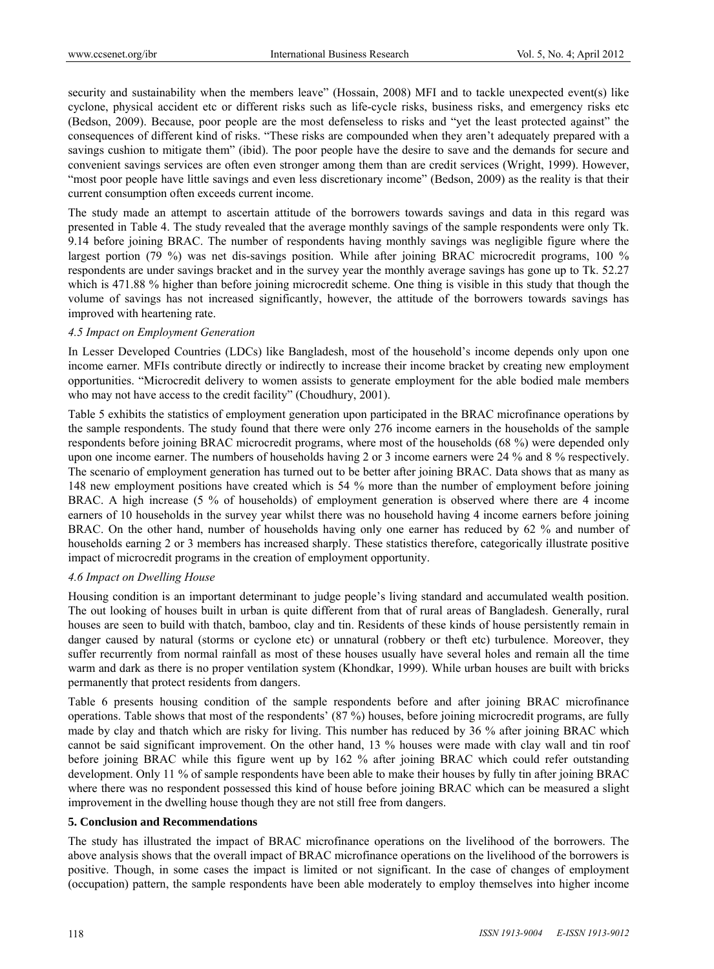security and sustainability when the members leave" (Hossain, 2008) MFI and to tackle unexpected event(s) like cyclone, physical accident etc or different risks such as life-cycle risks, business risks, and emergency risks etc (Bedson, 2009). Because, poor people are the most defenseless to risks and "yet the least protected against" the consequences of different kind of risks. "These risks are compounded when they aren't adequately prepared with a savings cushion to mitigate them" (ibid). The poor people have the desire to save and the demands for secure and convenient savings services are often even stronger among them than are credit services (Wright, 1999). However, "most poor people have little savings and even less discretionary income" (Bedson, 2009) as the reality is that their current consumption often exceeds current income.

The study made an attempt to ascertain attitude of the borrowers towards savings and data in this regard was presented in Table 4. The study revealed that the average monthly savings of the sample respondents were only Tk. 9.14 before joining BRAC. The number of respondents having monthly savings was negligible figure where the largest portion (79 %) was net dis-savings position. While after joining BRAC microcredit programs, 100 % respondents are under savings bracket and in the survey year the monthly average savings has gone up to Tk. 52.27 which is 471.88 % higher than before joining microcredit scheme. One thing is visible in this study that though the volume of savings has not increased significantly, however, the attitude of the borrowers towards savings has improved with heartening rate.

#### *4.5 Impact on Employment Generation*

In Lesser Developed Countries (LDCs) like Bangladesh, most of the household's income depends only upon one income earner. MFIs contribute directly or indirectly to increase their income bracket by creating new employment opportunities. "Microcredit delivery to women assists to generate employment for the able bodied male members who may not have access to the credit facility" (Choudhury, 2001).

Table 5 exhibits the statistics of employment generation upon participated in the BRAC microfinance operations by the sample respondents. The study found that there were only 276 income earners in the households of the sample respondents before joining BRAC microcredit programs, where most of the households (68 %) were depended only upon one income earner. The numbers of households having 2 or 3 income earners were 24 % and 8 % respectively. The scenario of employment generation has turned out to be better after joining BRAC. Data shows that as many as 148 new employment positions have created which is 54 % more than the number of employment before joining BRAC. A high increase (5 % of households) of employment generation is observed where there are 4 income earners of 10 households in the survey year whilst there was no household having 4 income earners before joining BRAC. On the other hand, number of households having only one earner has reduced by 62 % and number of households earning 2 or 3 members has increased sharply. These statistics therefore, categorically illustrate positive impact of microcredit programs in the creation of employment opportunity.

#### *4.6 Impact on Dwelling House*

Housing condition is an important determinant to judge people's living standard and accumulated wealth position. The out looking of houses built in urban is quite different from that of rural areas of Bangladesh. Generally, rural houses are seen to build with thatch, bamboo, clay and tin. Residents of these kinds of house persistently remain in danger caused by natural (storms or cyclone etc) or unnatural (robbery or theft etc) turbulence. Moreover, they suffer recurrently from normal rainfall as most of these houses usually have several holes and remain all the time warm and dark as there is no proper ventilation system (Khondkar, 1999). While urban houses are built with bricks permanently that protect residents from dangers.

Table 6 presents housing condition of the sample respondents before and after joining BRAC microfinance operations. Table shows that most of the respondents' (87 %) houses, before joining microcredit programs, are fully made by clay and thatch which are risky for living. This number has reduced by 36 % after joining BRAC which cannot be said significant improvement. On the other hand, 13 % houses were made with clay wall and tin roof before joining BRAC while this figure went up by 162 % after joining BRAC which could refer outstanding development. Only 11 % of sample respondents have been able to make their houses by fully tin after joining BRAC where there was no respondent possessed this kind of house before joining BRAC which can be measured a slight improvement in the dwelling house though they are not still free from dangers.

#### **5. Conclusion and Recommendations**

The study has illustrated the impact of BRAC microfinance operations on the livelihood of the borrowers. The above analysis shows that the overall impact of BRAC microfinance operations on the livelihood of the borrowers is positive. Though, in some cases the impact is limited or not significant. In the case of changes of employment (occupation) pattern, the sample respondents have been able moderately to employ themselves into higher income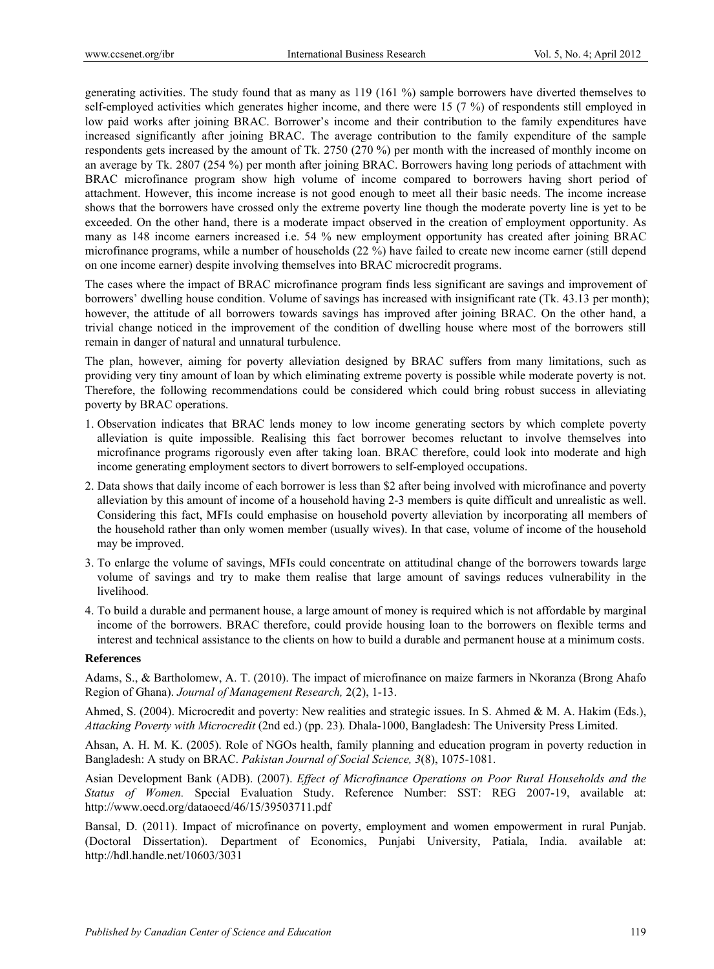generating activities. The study found that as many as 119 (161 %) sample borrowers have diverted themselves to self-employed activities which generates higher income, and there were 15 (7 %) of respondents still employed in low paid works after joining BRAC. Borrower's income and their contribution to the family expenditures have increased significantly after joining BRAC. The average contribution to the family expenditure of the sample respondents gets increased by the amount of Tk. 2750 (270 %) per month with the increased of monthly income on an average by Tk. 2807 (254 %) per month after joining BRAC. Borrowers having long periods of attachment with BRAC microfinance program show high volume of income compared to borrowers having short period of attachment. However, this income increase is not good enough to meet all their basic needs. The income increase shows that the borrowers have crossed only the extreme poverty line though the moderate poverty line is yet to be exceeded. On the other hand, there is a moderate impact observed in the creation of employment opportunity. As many as 148 income earners increased i.e. 54 % new employment opportunity has created after joining BRAC microfinance programs, while a number of households (22 %) have failed to create new income earner (still depend on one income earner) despite involving themselves into BRAC microcredit programs.

The cases where the impact of BRAC microfinance program finds less significant are savings and improvement of borrowers' dwelling house condition. Volume of savings has increased with insignificant rate (Tk. 43.13 per month); however, the attitude of all borrowers towards savings has improved after joining BRAC. On the other hand, a trivial change noticed in the improvement of the condition of dwelling house where most of the borrowers still remain in danger of natural and unnatural turbulence.

The plan, however, aiming for poverty alleviation designed by BRAC suffers from many limitations, such as providing very tiny amount of loan by which eliminating extreme poverty is possible while moderate poverty is not. Therefore, the following recommendations could be considered which could bring robust success in alleviating poverty by BRAC operations.

- 1. Observation indicates that BRAC lends money to low income generating sectors by which complete poverty alleviation is quite impossible. Realising this fact borrower becomes reluctant to involve themselves into microfinance programs rigorously even after taking loan. BRAC therefore, could look into moderate and high income generating employment sectors to divert borrowers to self-employed occupations.
- 2. Data shows that daily income of each borrower is less than \$2 after being involved with microfinance and poverty alleviation by this amount of income of a household having 2-3 members is quite difficult and unrealistic as well. Considering this fact, MFIs could emphasise on household poverty alleviation by incorporating all members of the household rather than only women member (usually wives). In that case, volume of income of the household may be improved.
- 3. To enlarge the volume of savings, MFIs could concentrate on attitudinal change of the borrowers towards large volume of savings and try to make them realise that large amount of savings reduces vulnerability in the livelihood.
- 4. To build a durable and permanent house, a large amount of money is required which is not affordable by marginal income of the borrowers. BRAC therefore, could provide housing loan to the borrowers on flexible terms and interest and technical assistance to the clients on how to build a durable and permanent house at a minimum costs.

#### **References**

Adams, S., & Bartholomew, A. T. (2010). The impact of microfinance on maize farmers in Nkoranza (Brong Ahafo Region of Ghana). *Journal of Management Research,* 2(2), 1-13.

Ahmed, S. (2004). Microcredit and poverty: New realities and strategic issues. In S. Ahmed & M. A. Hakim (Eds.), *Attacking Poverty with Microcredit* (2nd ed.) (pp. 23)*.* Dhala-1000, Bangladesh: The University Press Limited.

Ahsan, A. H. M. K. (2005). Role of NGOs health, family planning and education program in poverty reduction in Bangladesh: A study on BRAC. *Pakistan Journal of Social Science, 3*(8), 1075-1081.

Asian Development Bank (ADB). (2007). *Effect of Microfinance Operations on Poor Rural Households and the Status of Women.* Special Evaluation Study. Reference Number: SST: REG 2007-19, available at: http://www.oecd.org/dataoecd/46/15/39503711.pdf

Bansal, D. (2011). Impact of microfinance on poverty, employment and women empowerment in rural Punjab. (Doctoral Dissertation). Department of Economics, Punjabi University, Patiala, India. available at: http://hdl.handle.net/10603/3031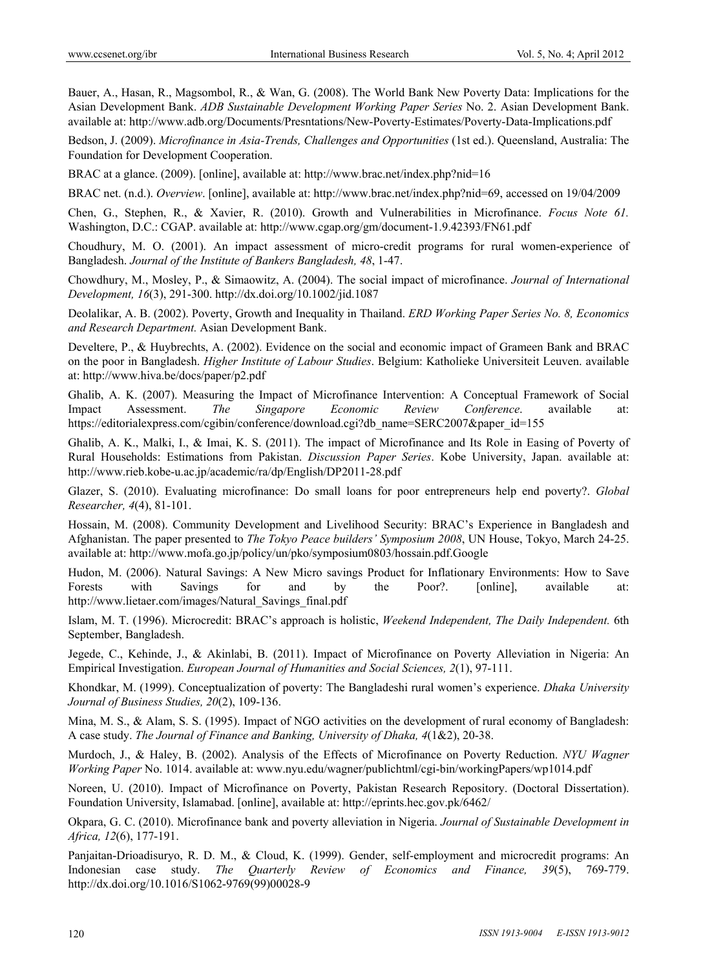Bauer, A., Hasan, R., Magsombol, R., & Wan, G. (2008). The World Bank New Poverty Data: Implications for the Asian Development Bank. *ADB Sustainable Development Working Paper Series* No. 2. Asian Development Bank. available at: http://www.adb.org/Documents/Presntations/New-Poverty-Estimates/Poverty-Data-Implications.pdf

Bedson, J. (2009). *Microfinance in Asia-Trends, Challenges and Opportunities* (1st ed.). Queensland, Australia: The Foundation for Development Cooperation.

BRAC at a glance. (2009). [online], available at: http://www.brac.net/index.php?nid=16

BRAC net. (n.d.). *Overview*. [online], available at: http://www.brac.net/index.php?nid=69, accessed on 19/04/2009

Chen, G., Stephen, R., & Xavier, R. (2010). Growth and Vulnerabilities in Microfinance. *Focus Note 61.* Washington, D.C.: CGAP. available at: http://www.cgap.org/gm/document-1.9.42393/FN61.pdf

Choudhury, M. O. (2001). An impact assessment of micro-credit programs for rural women-experience of Bangladesh. *Journal of the Institute of Bankers Bangladesh, 48*, 1-47.

Chowdhury, M., Mosley, P., & Simaowitz, A. (2004). The social impact of microfinance. *Journal of International Development, 16*(3), 291-300. http://dx.doi.org/10.1002/jid.1087

Deolalikar, A. B. (2002). Poverty, Growth and Inequality in Thailand. *ERD Working Paper Series No. 8, Economics and Research Department.* Asian Development Bank.

Develtere, P., & Huybrechts, A. (2002). Evidence on the social and economic impact of Grameen Bank and BRAC on the poor in Bangladesh. *Higher Institute of Labour Studies*. Belgium: Katholieke Universiteit Leuven. available at: http://www.hiva.be/docs/paper/p2.pdf

Ghalib, A. K. (2007). Measuring the Impact of Microfinance Intervention: A Conceptual Framework of Social Impact Assessment. *The Singapore Economic Review Conference*. available at: https://editorialexpress.com/cgibin/conference/download.cgi?db\_name=SERC2007&paper\_id=155

Ghalib, A. K., Malki, I., & Imai, K. S. (2011). The impact of Microfinance and Its Role in Easing of Poverty of Rural Households: Estimations from Pakistan. *Discussion Paper Series*. Kobe University, Japan. available at: http://www.rieb.kobe-u.ac.jp/academic/ra/dp/English/DP2011-28.pdf

Glazer, S. (2010). Evaluating microfinance: Do small loans for poor entrepreneurs help end poverty?. *Global Researcher, 4*(4), 81-101.

Hossain, M. (2008). Community Development and Livelihood Security: BRAC's Experience in Bangladesh and Afghanistan. The paper presented to *The Tokyo Peace builders' Symposium 2008*, UN House, Tokyo, March 24-25. available at: http://www.mofa.go.jp/policy/un/pko/symposium0803/hossain.pdf.Google

Hudon, M. (2006). Natural Savings: A New Micro savings Product for Inflationary Environments: How to Save Forests with Savings for and by the Poor?. [online], available at: http://www.lietaer.com/images/Natural\_Savings\_final.pdf

Islam, M. T. (1996). Microcredit: BRAC's approach is holistic, *Weekend Independent, The Daily Independent.* 6th September, Bangladesh.

Jegede, C., Kehinde, J., & Akinlabi, B. (2011). Impact of Microfinance on Poverty Alleviation in Nigeria: An Empirical Investigation. *European Journal of Humanities and Social Sciences, 2*(1), 97-111.

Khondkar, M. (1999). Conceptualization of poverty: The Bangladeshi rural women's experience. *Dhaka University Journal of Business Studies, 20*(2), 109-136.

Mina, M. S., & Alam, S. S. (1995). Impact of NGO activities on the development of rural economy of Bangladesh: A case study. *The Journal of Finance and Banking, University of Dhaka, 4*(1&2), 20-38.

Murdoch, J., & Haley, B. (2002). Analysis of the Effects of Microfinance on Poverty Reduction. *NYU Wagner Working Paper* No. 1014. available at: www.nyu.edu/wagner/publichtml/cgi-bin/workingPapers/wp1014.pdf

Noreen, U. (2010). Impact of Microfinance on Poverty, Pakistan Research Repository. (Doctoral Dissertation). Foundation University, Islamabad. [online], available at: http://eprints.hec.gov.pk/6462/

Okpara, G. C. (2010). Microfinance bank and poverty alleviation in Nigeria. *Journal of Sustainable Development in Africa, 12*(6), 177-191.

Panjaitan-Drioadisuryo, R. D. M., & Cloud, K. (1999). Gender, self-employment and microcredit programs: An Indonesian case study. *The Quarterly Review of Economics and Finance, 39*(5), 769-779. http://dx.doi.org/10.1016/S1062-9769(99)00028-9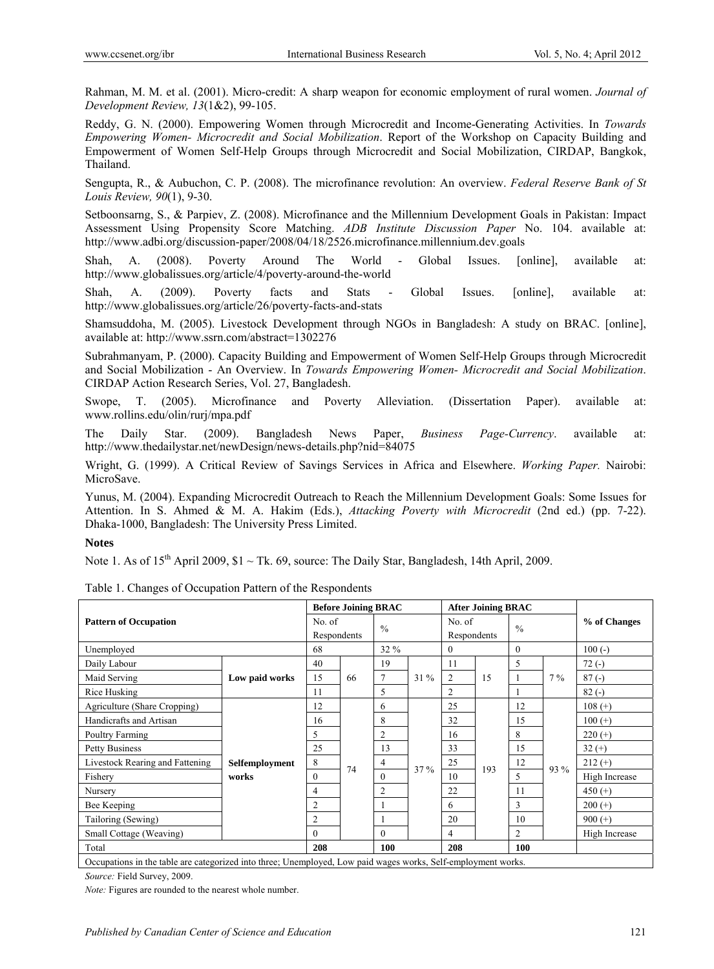Rahman, M. M. et al. (2001). Micro-credit: A sharp weapon for economic employment of rural women. *Journal of Development Review, 13*(1&2), 99-105.

Reddy, G. N. (2000). Empowering Women through Microcredit and Income-Generating Activities. In *Towards Empowering Women- Microcredit and Social Mobilization*. Report of the Workshop on Capacity Building and Empowerment of Women Self-Help Groups through Microcredit and Social Mobilization, CIRDAP, Bangkok, Thailand.

Sengupta, R., & Aubuchon, C. P. (2008). The microfinance revolution: An overview. *Federal Reserve Bank of St Louis Review, 90*(1), 9-30.

Setboonsarng, S., & Parpiev, Z. (2008). Microfinance and the Millennium Development Goals in Pakistan: Impact Assessment Using Propensity Score Matching. *ADB Institute Discussion Paper* No. 104. available at: http://www.adbi.org/discussion-paper/2008/04/18/2526.microfinance.millennium.dev.goals

Shah, A. (2008). Poverty Around The World - Global Issues. [online], available at: http://www.globalissues.org/article/4/poverty-around-the-world

Shah, A. (2009). Poverty facts and Stats - Global Issues. [online], available at: http://www.globalissues.org/article/26/poverty-facts-and-stats

Shamsuddoha, M. (2005). Livestock Development through NGOs in Bangladesh: A study on BRAC. [online], available at: http://www.ssrn.com/abstract=1302276

Subrahmanyam, P. (2000). Capacity Building and Empowerment of Women Self-Help Groups through Microcredit and Social Mobilization - An Overview. In *Towards Empowering Women- Microcredit and Social Mobilization*. CIRDAP Action Research Series, Vol. 27, Bangladesh.

Swope, T. (2005). Microfinance and Poverty Alleviation. (Dissertation Paper). available at: www.rollins.edu/olin/rurj/mpa.pdf

The Daily Star. (2009). Bangladesh News Paper, *Business Page-Currency*. available at: http://www.thedailystar.net/newDesign/news-details.php?nid=84075

Wright, G. (1999). A Critical Review of Savings Services in Africa and Elsewhere. *Working Paper.* Nairobi: MicroSave.

Yunus, M. (2004). Expanding Microcredit Outreach to Reach the Millennium Development Goals: Some Issues for Attention. In S. Ahmed & M. A. Hakim (Eds.), *Attacking Poverty with Microcredit* (2nd ed.) (pp. 7-22). Dhaka-1000, Bangladesh: The University Press Limited.

#### **Notes**

Note 1. As of  $15^{th}$  April 2009,  $$1 \sim Tk.$  69, source: The Daily Star, Bangladesh, 14th April, 2009.

|                                                                                                               |                | <b>Before Joining BRAC</b> |    |               | <b>After Joining BRAC</b> |                |                            |                |       |               |
|---------------------------------------------------------------------------------------------------------------|----------------|----------------------------|----|---------------|---------------------------|----------------|----------------------------|----------------|-------|---------------|
| <b>Pattern of Occupation</b>                                                                                  |                | No. of                     |    | $\frac{0}{0}$ |                           | No. of         |                            | $\frac{0}{0}$  |       | % of Changes  |
|                                                                                                               |                | Respondents                |    |               |                           | Respondents    |                            |                |       |               |
| Unemployed                                                                                                    |                | 68                         |    | 32 %          |                           | $\mathbf{0}$   |                            | $\mathbf{0}$   |       | $100(-)$      |
| Daily Labour                                                                                                  |                | 40                         |    | 19            |                           | 11             |                            | 5              |       | $72(-)$       |
| Maid Serving                                                                                                  | Low paid works | 15                         | 66 | 7             | $31\%$                    | $\overline{2}$ | 15                         |                | $7\%$ | $87(-)$       |
| Rice Husking                                                                                                  |                | 11                         |    | 5             |                           | $\overline{2}$ |                            |                |       | $82(-)$       |
| Agriculture (Share Cropping)                                                                                  |                | 12                         |    | 6             |                           | 25             |                            | 12             |       | $108 (+)$     |
| Handicrafts and Artisan                                                                                       |                | 16                         | 74 | 8             | 37 %                      | 32             | 15<br>8<br>15<br>12<br>193 |                | 93 %  | $100 (+)$     |
| Poultry Farming                                                                                               |                | 5                          |    | 2             |                           | 16             |                            |                |       | $220 (+)$     |
| <b>Petty Business</b>                                                                                         |                | 25                         |    | 13            |                           | 33             |                            |                |       | $32 (+)$      |
| Livestock Rearing and Fattening                                                                               | Selfemployment | 8                          |    | 4             |                           | 25             |                            |                |       | $212 (+)$     |
| Fishery                                                                                                       | works          | $\theta$                   |    | $\theta$      |                           | 10             |                            | 5              |       | High Increase |
| Nursery                                                                                                       |                | 4                          |    | 2             |                           | 22             |                            | 11             |       | 450 $(+)$     |
| Bee Keeping                                                                                                   |                | $\overline{2}$             |    |               |                           | 6              |                            | 3              |       | $200 (+)$     |
| Tailoring (Sewing)                                                                                            |                | 2                          |    |               |                           | 20             |                            | 10             |       | $900 (+)$     |
| Small Cottage (Weaving)                                                                                       |                | $\Omega$                   |    | $\Omega$      |                           | 4              |                            | $\overline{c}$ |       | High Increase |
| Total                                                                                                         |                | 208                        |    | 100           |                           | 208            |                            | <b>100</b>     |       |               |
| Occupations in the table are categorized into three; Unemployed, Low paid wages works, Self-employment works. |                |                            |    |               |                           |                |                            |                |       |               |

Table 1. Changes of Occupation Pattern of the Respondents

*Source:* Field Survey, 2009.

*Note:* Figures are rounded to the nearest whole number.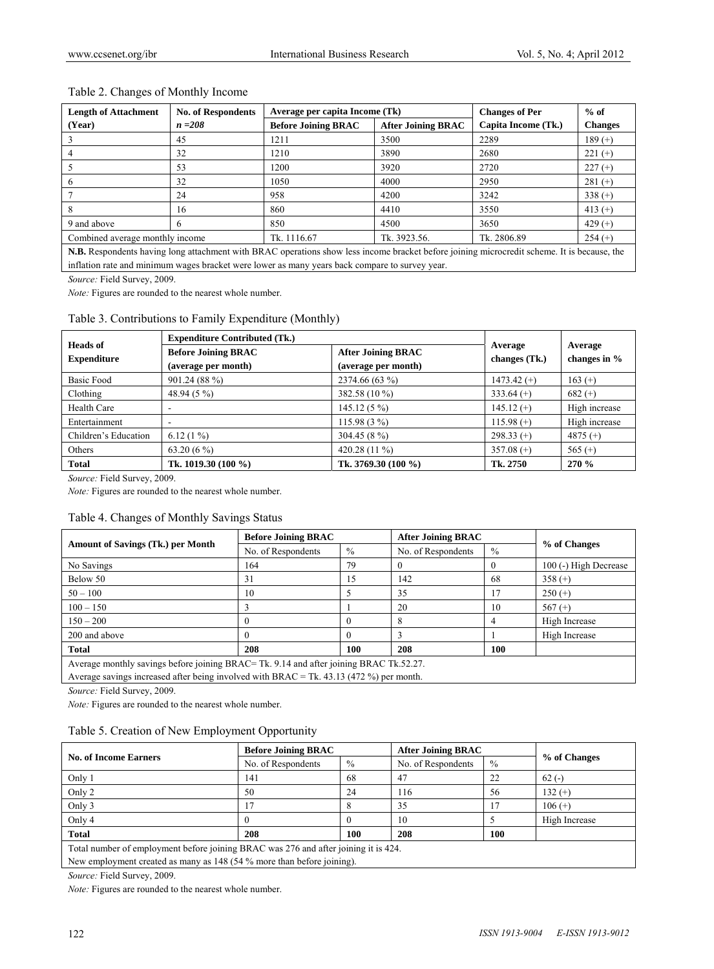#### Table 2. Changes of Monthly Income

| <b>Length of Attachment</b>     | <b>No. of Respondents</b> | Average per capita Income (Tk) |                           | <b>Changes of Per</b> | $%$ of         |  |  |
|---------------------------------|---------------------------|--------------------------------|---------------------------|-----------------------|----------------|--|--|
| (Year)                          | $n = 208$                 | <b>Before Joining BRAC</b>     | <b>After Joining BRAC</b> | Capita Income (Tk.)   | <b>Changes</b> |  |  |
|                                 | 45                        | 1211                           | 3500                      | 2289                  | $189 (+)$      |  |  |
|                                 | 32                        | 1210                           | 3890                      | 2680                  | $221 (+)$      |  |  |
|                                 | 53                        | 1200                           | 3920                      | 2720                  | $227 (+)$      |  |  |
|                                 | 32                        | 1050                           | 4000                      | 2950                  | $281 (+)$      |  |  |
|                                 | 24                        | 958                            | 4200                      | 3242                  | $338 (+)$      |  |  |
|                                 | 16                        | 860                            | 4410                      | 3550                  | $413 (+)$      |  |  |
| 9 and above                     | h                         | 850                            | 4500                      | 3650                  | $429 (+)$      |  |  |
| Combined average monthly income |                           | Tk. 3923.56.<br>Tk. 1116.67    |                           | Tk. 2806.89           | $254 (+)$      |  |  |
| ______<br>.                     |                           |                                |                           |                       |                |  |  |

**N.B.** Respondents having long attachment with BRAC operations show less income bracket before joining microcredit scheme. It is because, the inflation rate and minimum wages bracket were lower as many years back compare to survey year.

*Source:* Field Survey, 2009.

*Note:* Figures are rounded to the nearest whole number.

## Table 3. Contributions to Family Expenditure (Monthly)

| Heads of             | <b>Expenditure Contributed (Tk.)</b>              |                                                  |                          |                         |  |
|----------------------|---------------------------------------------------|--------------------------------------------------|--------------------------|-------------------------|--|
| <b>Expenditure</b>   | <b>Before Joining BRAC</b><br>(average per month) | <b>After Joining BRAC</b><br>(average per month) | Average<br>changes (Tk.) | Average<br>changes in % |  |
| <b>Basic Food</b>    | 901.24 (88 %)                                     | 2374.66 (63 %)                                   | $1473.42 (+)$            | $163 (+)$               |  |
| Clothing             | 48.94 $(5\%)$                                     | 382.58 (10 %)                                    | $333.64 (+)$             | $682 (+)$               |  |
| Health Care          |                                                   | $145.12(5\%)$                                    | $145.12 (+)$             | High increase           |  |
| Entertainment        |                                                   | $115.98(3\%)$                                    | $115.98 (+)$             | High increase           |  |
| Children's Education | $6.12(1\%)$                                       | 304.45(8%)                                       | $298.33(+)$              | $4875 (+)$              |  |
| Others               | $63.20(6\%)$                                      | 420.28 $(11\%)$                                  | $357.08(+)$              | $565 (+)$               |  |
| <b>Total</b>         | Tk. 1019.30 (100 %)                               | Tk. 3769.30 (100 %)                              | Tk. 2750                 | 270 %                   |  |

*Source:* Field Survey, 2009.

*Note:* Figures are rounded to the nearest whole number.

#### Table 4. Changes of Monthly Savings Status

| <b>Amount of Savings (Tk.) per Month</b>                                                      | <b>Before Joining BRAC</b> |               | <b>After Joining BRAC</b> |               |                       |  |
|-----------------------------------------------------------------------------------------------|----------------------------|---------------|---------------------------|---------------|-----------------------|--|
|                                                                                               | No. of Respondents         | $\frac{0}{0}$ | No. of Respondents        | $\frac{0}{0}$ | % of Changes          |  |
| No Savings                                                                                    | 164                        | 79            |                           | $\theta$      | 100 (-) High Decrease |  |
| Below 50                                                                                      | 31                         | 15            | 142                       | 68            | 358 $(+)$             |  |
| $50 - 100$                                                                                    | 10                         |               | 35                        |               | $250 (+)$             |  |
| $100 - 150$                                                                                   |                            |               | 20                        | 10            | 567 $(+)$             |  |
| $150 - 200$                                                                                   |                            |               | 8                         |               | High Increase         |  |
| 200 and above                                                                                 |                            |               |                           |               | High Increase         |  |
| <b>Total</b>                                                                                  | 208                        | 100           | 208                       | <b>100</b>    |                       |  |
| Average monthly savings before joining BRAC = Tk, $9.14$ and after joining BRAC Tk, $52.27$ . |                            |               |                           |               |                       |  |

Average savings increased after being involved with BRAC = Tk. 43.13 (472 %) per month.

*Source:* Field Survey, 2009.

*Note:* Figures are rounded to the nearest whole number.

## Table 5. Creation of New Employment Opportunity

| <b>No. of Income Earners</b>                                                        |                    | <b>Before Joining BRAC</b> |                    | <b>After Joining BRAC</b> |               |  |
|-------------------------------------------------------------------------------------|--------------------|----------------------------|--------------------|---------------------------|---------------|--|
|                                                                                     | No. of Respondents | $\frac{0}{0}$              | No. of Respondents | $\frac{0}{0}$             | % of Changes  |  |
| Only 1                                                                              | 141                | 68                         | 47                 | 22                        | $62(-)$       |  |
| Only 2                                                                              | 50                 | 24                         | 116                | 56                        | $132 (+)$     |  |
| Only 3                                                                              |                    |                            | 35                 |                           | $106 (+)$     |  |
| Only 4                                                                              |                    |                            | 10                 |                           | High Increase |  |
| <b>Total</b>                                                                        | 208                | 100                        | 208                | 100                       |               |  |
| Total number of employment before joining BRAC was 276 and after joining it is 424. |                    |                            |                    |                           |               |  |
| New employment created as many as 148 (54 % more than before joining).              |                    |                            |                    |                           |               |  |

*Source:* Field Survey, 2009.

*Note:* Figures are rounded to the nearest whole number.